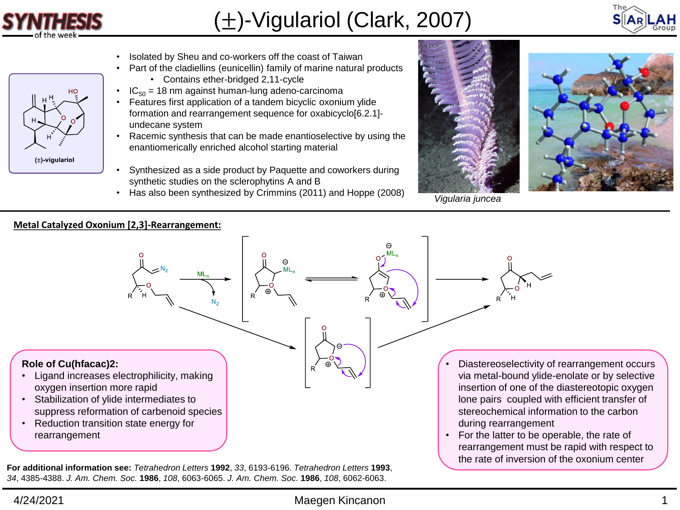

 $(\pm)$ -vigulariol

## (±)-Vigulariol (Clark, 2007)



- Isolated by Sheu and co-workers off the coast of Taiwan
- Part of the cladiellins (eunicellin) family of marine natural products
	- Contains ether-bridged 2,11-cycle
- $IC_{50}$  = 18 nm against human-lung adeno-carcinoma
- Features first application of a tandem bicyclic oxonium ylide formation and rearrangement sequence for oxabicyclo[6.2.1] undecane system
- Racemic synthesis that can be made enantioselective by using the enantiomerically enriched alcohol starting material
- Synthesized as a side product by Paquette and coworkers during synthetic studies on the sclerophytins A and B
- Has also been synthesized by Crimmins (2011) and Hoppe (2008)



*Vigularia juncea*



**For additional information see:** *Tetrahedron Letters* **1992**, *33*, 6193-6196. *Tetrahedron Letters* **1993**, *34*, 4385-4388. *J. Am. Chem. Soc.* **1986**, *108*, 6063-6065. *J. Am. Chem. Soc.* **1986**, *108*, 6062-6063.

## 4/24/2021 Maegen Kincanon 1